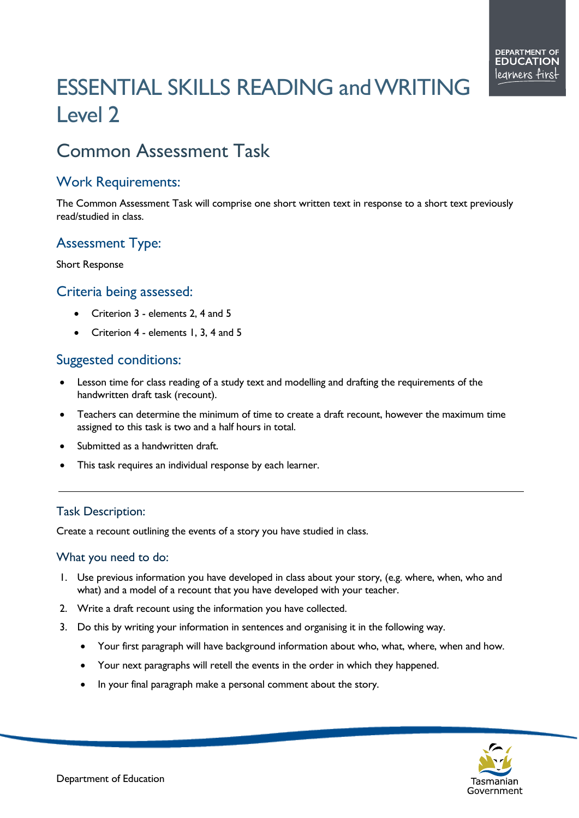# ESSENTIAL SKILLS READING andWRITING Level 2

# Common Assessment Task

### Work Requirements:

The Common Assessment Task will comprise one short written text in response to a short text previously read/studied in class.

## Assessment Type:

Short Response

#### Criteria being assessed:

- Criterion 3 elements 2, 4 and 5
- Criterion 4 elements 1, 3, 4 and 5

### Suggested conditions:

- Lesson time for class reading of a study text and modelling and drafting the requirements of the handwritten draft task (recount).
- Teachers can determine the minimum of time to create a draft recount, however the maximum time assigned to this task is two and a half hours in total.
- Submitted as a handwritten draft.
- This task requires an individual response by each learner.

#### Task Description:

Create a recount outlining the events of a story you have studied in class.

#### What you need to do:

- 1. Use previous information you have developed in class about your story, (e.g. where, when, who and what) and a model of a recount that you have developed with your teacher.
- 2. Write a draft recount using the information you have collected.
- 3. Do this by writing your information in sentences and organising it in the following way.
	- Your first paragraph will have background information about who, what, where, when and how.
	- Your next paragraphs will retell the events in the order in which they happened.
	- In your final paragraph make a personal comment about the story.